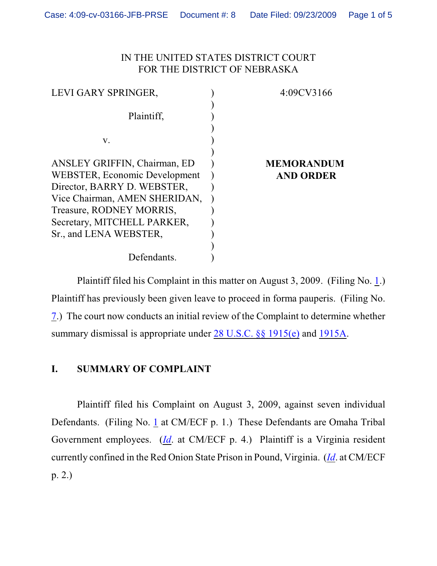### IN THE UNITED STATES DISTRICT COURT FOR THE DISTRICT OF NEBRASKA

| 4:09CV3166        |
|-------------------|
|                   |
|                   |
|                   |
|                   |
|                   |
| <b>MEMORANDUM</b> |
| <b>AND ORDER</b>  |
|                   |
|                   |
|                   |
|                   |
|                   |
|                   |
|                   |
|                   |

Plaintiff filed his Complaint in this matter on August 3, 2009. (Filing No. [1](http://ecf.ned.uscourts.gov/doc1/11301799870).) Plaintiff has previously been given leave to proceed in forma pauperis. (Filing No. [7](http://ecf.ned.uscourts.gov/doc1/11301822625).) The court now conducts an initial review of the Complaint to determine whether summary dismissal is appropriate under [28 U.S.C. §§ 1915\(e\)](http://web2.westlaw.com/find/default.wl?rs=CLWP3.0&vr=2.0&cite=28+USCA+s+1915%28e%29%282%29%28B%29&ssl=n) and [1915A](http://web2.westlaw.com/find/default.wl?bhcp=1&cite=28+USCA+s+1915A&FN=%5Ftop&rs=CLWP3%2E0&ssl=y&strRecreate=no&sv=Split&vr=2%2E0).

## **I. SUMMARY OF COMPLAINT**

Plaintiff filed his Complaint on August 3, 2009, against seven individual Defendants. (Filing No. [1](http://ecf.ned.uscourts.gov/doc1/11301799870) at CM/ECF p. 1.) These Defendants are Omaha Tribal Government employees. (*[Id](https://ecf.ned.uscourts.gov/doc1/11301799870)*. at CM/ECF p. 4.) Plaintiff is a Virginia resident currently confined in the Red Onion State Prison in Pound, Virginia. (*[Id](https://ecf.ned.uscourts.gov/doc1/11301799870)*. at CM/ECF p. 2.)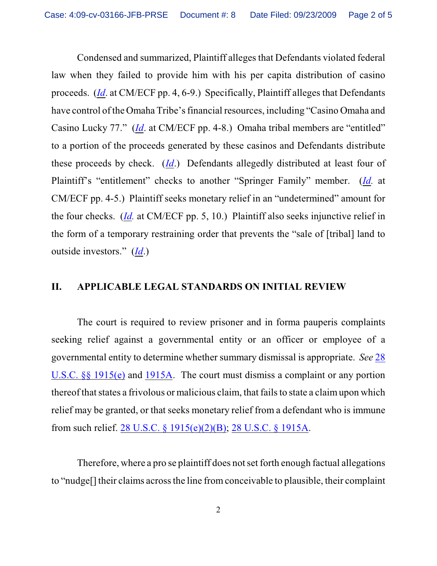Condensed and summarized, Plaintiff alleges that Defendants violated federal law when they failed to provide him with his per capita distribution of casino proceeds. (*[Id](https://ecf.ned.uscourts.gov/doc1/11301799870)*. at CM/ECF pp. 4, 6-9.) Specifically, Plaintiff alleges that Defendants have control of the Omaha Tribe's financial resources, including "Casino Omaha and Casino Lucky 77." (*[Id](https://ecf.ned.uscourts.gov/doc1/11301799870)*. at CM/ECF pp. 4-8.) Omaha tribal members are "entitled" to a portion of the proceeds generated by these casinos and Defendants distribute these proceeds by check. (*[Id](https://ecf.ned.uscourts.gov/doc1/11301799870)*.) Defendants allegedly distributed at least four of Plaintiff's "entitlement" checks to another "Springer Family" member. (*[Id](https://ecf.ned.uscourts.gov/doc1/11301799870).* at CM/ECF pp. 4-5.) Plaintiff seeks monetary relief in an "undetermined" amount for the four checks. (*[Id](https://ecf.ned.uscourts.gov/doc1/11301799870).* at CM/ECF pp. 5, 10.) Plaintiff also seeks injunctive relief in the form of a temporary restraining order that prevents the "sale of [tribal] land to outside investors." (*[Id](https://ecf.ned.uscourts.gov/doc1/11301799870)*.)

#### **II. APPLICABLE LEGAL STANDARDS ON INITIAL REVIEW**

The court is required to review prisoner and in forma pauperis complaints seeking relief against a governmental entity or an officer or employee of a governmental entity to determine whether summary dismissal is appropriate. *See* [28](http://www.westlaw.com/find/default.wl?rs=CLWP3.0&vr=2.0&cite=28+USCA+ss+1915%28e%29) [U.S.C. §§ 1915\(e\)](http://www.westlaw.com/find/default.wl?rs=CLWP3.0&vr=2.0&cite=28+USCA+ss+1915%28e%29) and [1915A](http://web2.westlaw.com/find/default.wl?fn=_top&rs=WLW8.04&rp=%2ffind%2fdefault.wl&vr=2.0&cite=28+USC+section+1915A). The court must dismiss a complaint or any portion thereof that states a frivolous or malicious claim, that fails to state a claim upon which relief may be granted, or that seeks monetary relief from a defendant who is immune from such relief. [28 U.S.C. § 1915\(e\)\(2\)\(B\)](http://www.westlaw.com/find/default.wl?rs=CLWP3.0&vr=2.0&cite=28+USCA+s+1915%28e%29%282%29%28B%29); [28 U.S.C. § 1915A](http://www.westlaw.com/find/default.wl?rs=CLWP3.0&vr=2.0&cite=28+USCA+s+1915A).

Therefore, where a pro se plaintiff does not set forth enough factual allegations to "nudge[] their claims across the line from conceivable to plausible, their complaint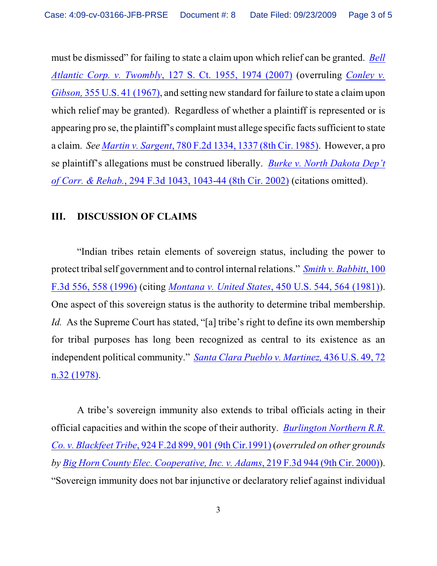must be dismissed" for failing to state a claim upon which relief can be granted. *[Bell](http://www.westlaw.com/find/default.wl?rs=CLWP3.0&vr=2.0&cite=127+S.Ct.+1955) Atlantic Corp. v. Twombly*[, 127 S. Ct. 1955, 1974 \(2007\)](http://www.westlaw.com/find/default.wl?rs=CLWP3.0&vr=2.0&cite=127+S.Ct.+1955) (overruling *[Conley v.](http://web2.westlaw.com/find/default.wl?fn=_top&rs=WLW8.04&rp=%2ffind%2fdefault.wl&vr=2.0&cite=355+U.S.+41) Gibson,* [355 U.S. 41 \(1967\)](http://web2.westlaw.com/find/default.wl?fn=_top&rs=WLW8.04&rp=%2ffind%2fdefault.wl&vr=2.0&cite=355+U.S.+41), and setting new standard for failure to state a claim upon which relief may be granted). Regardless of whether a plaintiff is represented or is appearing pro se, the plaintiff's complaint must allege specific facts sufficient to state a claim. *See Martin v. Sargent*, [780 F.2d 1334, 1337 \(8th Cir. 1985\)](http://www.westlaw.com/find/default.wl?rs=CLWP3.0&vr=2.0&cite=780+F.2d+1334). However, a pro se plaintiff's allegations must be construed liberally. *[Burke v. North Dakota Dep't](http://www.westlaw.com/find/default.wl?rs=CLWP3.0&vr=2.0&cite=294+F.3d+1043) of Corr. & Rehab.*[, 294 F.3d 1043, 1043-44 \(8th Cir. 2002\)](http://www.westlaw.com/find/default.wl?rs=CLWP3.0&vr=2.0&cite=294+F.3d+1043) (citations omitted).

# **III. DISCUSSION OF CLAIMS**

"Indian tribes retain elements of sovereign status, including the power to protect tribal self government and to control internal relations." *[Smith v. Babbitt](http://web2.westlaw.com/find/default.wl?rs=WLW9.09&ifm=NotSet&fn=_top&sv=Split&cite=100+F.3d+558&vr=2.0&rp=%2ffind%2fdefault.wl&mt=Westlaw)*, 100 [F.3d 556, 558 \(1996\)](http://web2.westlaw.com/find/default.wl?rs=WLW9.09&ifm=NotSet&fn=_top&sv=Split&cite=100+F.3d+558&vr=2.0&rp=%2ffind%2fdefault.wl&mt=Westlaw) (citing *[Montana v. United States](http://web2.westlaw.com/find/default.wl?rs=WLW9.09&ifm=NotSet&fn=_top&sv=Split&cite=450+U.S.+564&vr=2.0&rp=%2ffind%2fdefault.wl&mt=Westlaw)*, 450 U.S. 544, 564 (1981)). One aspect of this sovereign status is the authority to determine tribal membership. *Id.* As the Supreme Court has stated, "[a] tribe's right to define its own membership for tribal purposes has long been recognized as central to its existence as an independent political community." *[Santa Clara Pueblo v. Martinez,](http://web2.westlaw.com/find/default.wl?rs=WLW9.09&ifm=NotSet&fn=_top&sv=Split&cite=436+U.S.+72&vr=2.0&rp=%2ffind%2fdefault.wl&mt=Westlaw)* 436 U.S. 49, 72 [n.32 \(1978\)](http://web2.westlaw.com/find/default.wl?rs=WLW9.09&ifm=NotSet&fn=_top&sv=Split&cite=436+U.S.+72&vr=2.0&rp=%2ffind%2fdefault.wl&mt=Westlaw).

A tribe's sovereign immunity also extends to tribal officials acting in their official capacities and within the scope of their authority. *[Burlington Northern R.R.](http://web2.westlaw.com/find/default.wl?rs=WLW9.09&ifm=NotSet&fn=_top&sv=Split&cite=924+F.2d+901&vr=2.0&rp=%2ffind%2fdefault.wl&mt=Westlaw) Co. v. Blackfeet Tribe*, 924 F.2d 899, [901 \(9th Cir.1991\)](http://web2.westlaw.com/find/default.wl?rs=WLW9.09&ifm=NotSet&fn=_top&sv=Split&cite=924+F.2d+901&vr=2.0&rp=%2ffind%2fdefault.wl&mt=Westlaw) (*overruled on other grounds by [Big Horn County Elec. Cooperative, Inc. v. Adams](http://web2.westlaw.com/find/default.wl?rs=WLW9.09&ifm=NotSet&fn=_top&sv=Split&pbc=3F1E7F52&cite=219+F.3d+944+&vr=2.0&rp=%2ffind%2fdefault.wl&mt=Westlaw)*, 219 F.3d 944 (9th Cir. 2000)). "Sovereign immunity does not bar injunctive or declaratory relief against individual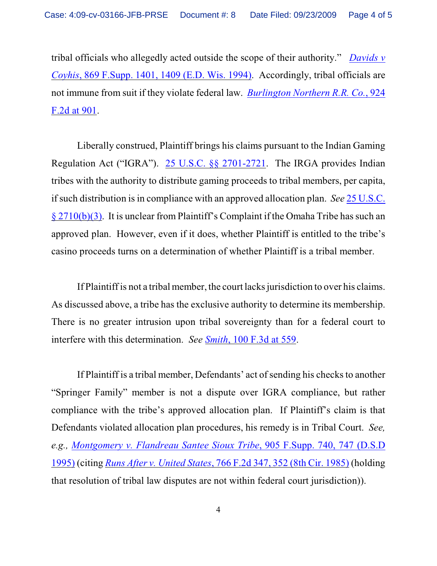tribal officials who allegedly acted outside the scope of their authority." *[Davids v](http://web2.westlaw.com/find/default.wl?rs=WLW9.09&ifm=NotSet&fn=_top&sv=Split&pbc=3F1E7F52&cite=869+F.Supp.+1409&vr=2.0&rp=%2ffind%2fdefault.wl&mt=Westlaw) Coyhis*, 869 F.Supp. [1401, 1409 \(E.D. Wis. 1994\)](http://web2.westlaw.com/find/default.wl?rs=WLW9.09&ifm=NotSet&fn=_top&sv=Split&pbc=3F1E7F52&cite=869+F.Supp.+1409&vr=2.0&rp=%2ffind%2fdefault.wl&mt=Westlaw). Accordingly, tribal officials are not immune from suit if they violate federal law. *Burlington [Northern R.R. Co.](http://web2.westlaw.com/find/default.wl?rs=WLW9.09&ifm=NotSet&fn=_top&sv=Split&pbc=3F1E7F52&cite=924+F.2d+901&vr=2.0&rp=%2ffind%2fdefault.wl&mt=Westlaw)*, 924 [F.2d at 901](http://web2.westlaw.com/find/default.wl?rs=WLW9.09&ifm=NotSet&fn=_top&sv=Split&pbc=3F1E7F52&cite=924+F.2d+901&vr=2.0&rp=%2ffind%2fdefault.wl&mt=Westlaw).

Liberally construed, Plaintiff brings his claims pursuant to the Indian Gaming Regulation Act ("IGRA"). [25 U.S.C. §§ 2701-2721](http://web2.westlaw.com/find/default.wl?rs=WLW9.09&ifm=NotSet&fn=_top&sv=Split&pbc=3F1E7F52&cite=25+U.S.C.+%c2%a7+2701&vr=2.0&rp=%2ffind%2fdefault.wl&mt=Westlaw). The IRGA provides Indian tribes with the authority to distribute gaming proceeds to tribal members, per capita, if such distribution is in compliance with an approved allocation plan. *See* [25 U.S.C.](http://web2.westlaw.com/find/default.wl?rs=WLW9.09&ifm=NotSet&fn=_top&sv=Split&pbc=3F1E7F52&cite=25+U.S.C.+%c2%a7+2710&vr=2.0&rp=%2ffind%2fdefault.wl&mt=Westlaw) [§ 2710\(b\)\(3\)](http://web2.westlaw.com/find/default.wl?rs=WLW9.09&ifm=NotSet&fn=_top&sv=Split&pbc=3F1E7F52&cite=25+U.S.C.+%c2%a7+2710&vr=2.0&rp=%2ffind%2fdefault.wl&mt=Westlaw). It is unclear from Plaintiff's Complaint if the Omaha Tribe has such an approved plan. However, even if it does, whether Plaintiff is entitled to the tribe's casino proceeds turns on a determination of whether Plaintiff is a tribal member.

If Plaintiff is not a tribal member, the court lacks jurisdiction to over his claims. As discussed above, a tribe has the exclusive authority to determine its membership. There is no greater intrusion upon tribal sovereignty than for a federal court to interfere with this determination. *See Smith*[, 100 F.3d at 559](http://web2.westlaw.com/find/default.wl?rs=WLW9.09&ifm=NotSet&fn=_top&sv=Split&cite=100+F.3d+558&vr=2.0&rp=%2ffind%2fdefault.wl&mt=Westlaw).

If Plaintiff is a tribal member, Defendants' act of sending his checks to another "Springer Family" member is not a dispute over IGRA compliance, but rather compliance with the tribe's approved allocation plan. If Plaintiff's claim is that Defendants violated allocation plan procedures, his remedy is in Tribal Court. *See, e.g., [Montgomery v. Flandreau Santee Sioux Tribe](http://web2.westlaw.com/find/default.wl?ifm=NotSet&rp=%2ffind%2fdefault.wl&sv=Split&rs=WLW9.09&cite=905+F.Supp.+740&fn=_top&mt=26&vr=2.0&pbc=3F1E7F52)*, 905 F.Supp. 740, 747 (D.S.D [1995\)](http://web2.westlaw.com/find/default.wl?ifm=NotSet&rp=%2ffind%2fdefault.wl&sv=Split&rs=WLW9.09&cite=905+F.Supp.+740&fn=_top&mt=26&vr=2.0&pbc=3F1E7F52) (citing *Runs After v. United States*[, 766 F.2d 347, 352 \(8th Cir. 1985\)](http://web2.westlaw.com/find/default.wl?ifm=NotSet&rp=%2ffind%2fdefault.wl&sv=Split&rs=WLW9.09&cite=766+F.2d+351&fn=_top&mt=26&vr=2.0&pbc=3F1E7F52) (holding that resolution of tribal law disputes are not within federal court jurisdiction)).